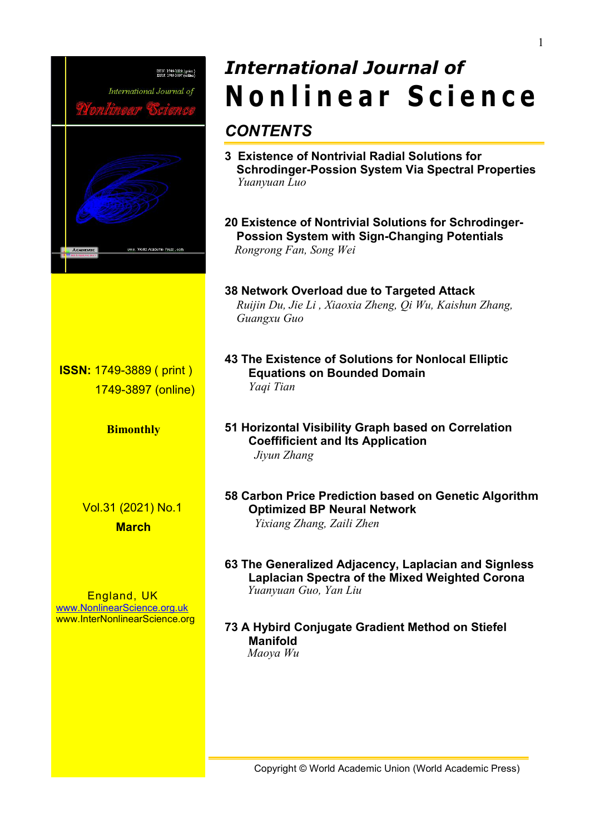

# *International Journal of* **N o n l i n e a r S c ie n c e**

- **3 Existence of Nontrivial Radial Solutions for Schrodinger-Possion System Via Spectral Properties**
- **20 Existence of Nontrivial Solutions for Schrodinger- Possion System with Sign-Changing Potentials** *Rongrong Fan, Song Wei*

# **38 Network Overload due to Targeted Attack** *Ruijin Du, Jie Li,Xiaoxia Zheng, QiWu, Kaishun Zhang,*

- **43 The Existence of Solutions for Nonlocal Elliptic Equations on Bounded Domain**
- **51 Horizontal Visibility Graph based on Correlation Coeffificient and Its Application**
- **58 Carbon Price Prediction based on Genetic Algorithm Optimized BP Neural Network** *Yixiang Zhang, Zaili Zhen*
- **63 The Generalized Adjacency, Laplacian and Signless Laplacian Spectra of the Mixed Weighted Corona** *Yuanyuan Guo, Yan Liu*

# **73 A Hybird Conjugate Gradient Method on Stiefel Manifold** *Maoya Wu*